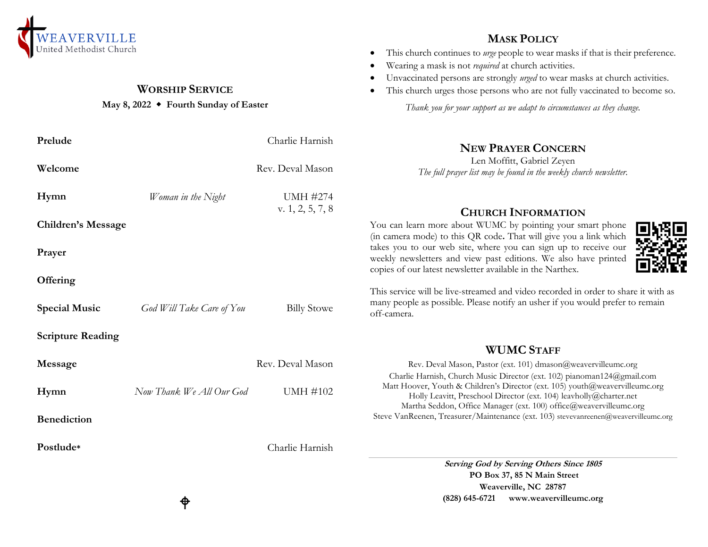

# **WORSHIP SERVICE**

## **May 8, 2022 Fourth Sunday of Easter**

| Prelude                   |                           | Charlie Harnish                       | <b>NEW PRAYER CONCERN</b>                                                                                                                                                                                                |
|---------------------------|---------------------------|---------------------------------------|--------------------------------------------------------------------------------------------------------------------------------------------------------------------------------------------------------------------------|
| Welcome                   |                           | Rev. Deval Mason                      | Len Moffitt, Gabriel Zeyen<br>The full prayer list may be found in the weekly church newsletter.                                                                                                                         |
| Hymn                      | Woman in the Night        | <b>UMH #274</b><br>v. $1, 2, 5, 7, 8$ | <b>CHURCH INFORMATION</b>                                                                                                                                                                                                |
| <b>Children's Message</b> |                           |                                       | You can learn more about WUMC by pointing your smart phone<br>(in camera mode) to this QR code. That will give you a link which                                                                                          |
| Prayer                    |                           |                                       | takes you to our web site, where you can sign up to receive our<br>weekly newsletters and view past editions. We also have printed<br>copies of our latest newsletter available in the Narthex.                          |
| Offering                  |                           |                                       | This service will be live-streamed and video recorded in order to share it with as                                                                                                                                       |
| <b>Special Music</b>      | God Will Take Care of You | <b>Billy Stowe</b>                    | many people as possible. Please notify an usher if you would prefer to remain<br>off-camera.                                                                                                                             |
| <b>Scripture Reading</b>  |                           |                                       | <b>WUMC STAFF</b>                                                                                                                                                                                                        |
| Message                   |                           | Rev. Deval Mason                      | Rev. Deval Mason, Pastor (ext. 101) dmason@weavervilleumc.org<br>Charlie Harnish, Church Music Director (ext. 102) pianoman124@gmail.com                                                                                 |
| Hymn                      | Now Thank We All Our God  | <b>UMH #102</b>                       | Matt Hoover, Youth & Children's Director (ext. 105) youth@weavervilleumc.org<br>Holly Leavitt, Preschool Director (ext. 104) leavholly@charter.net<br>Martha Seddon, Office Manager (ext. 100) office@weavervilleumc.org |
| <b>Benediction</b>        |                           |                                       | Steve VanReenen, Treasurer/Maintenance (ext. 103) stevevanreenen@weavervilleumc.org                                                                                                                                      |
| Postlude*                 |                           | Charlie Harnish                       |                                                                                                                                                                                                                          |
|                           |                           |                                       | Serving God by Serving Others Since 1805                                                                                                                                                                                 |
|                           |                           |                                       | PO Box 37, 85 N Main Street<br>Weaverville, NC 28787                                                                                                                                                                     |

## **MASK POLICY**

- This church continues to *urge* people to wear masks if that is their preference.
- Wearing a mask is not *required* at church activities.
- Unvaccinated persons are strongly *urged* to wear masks at church activities.
- This church urges those persons who are not fully vaccinated to become so.

*Thank you for your support as we adapt to circumstances as they change.*



**Weaverville, NC 28787 (828) 645-6721 [www.weavervilleumc.org](http://www.weavervilleumc.org/)**